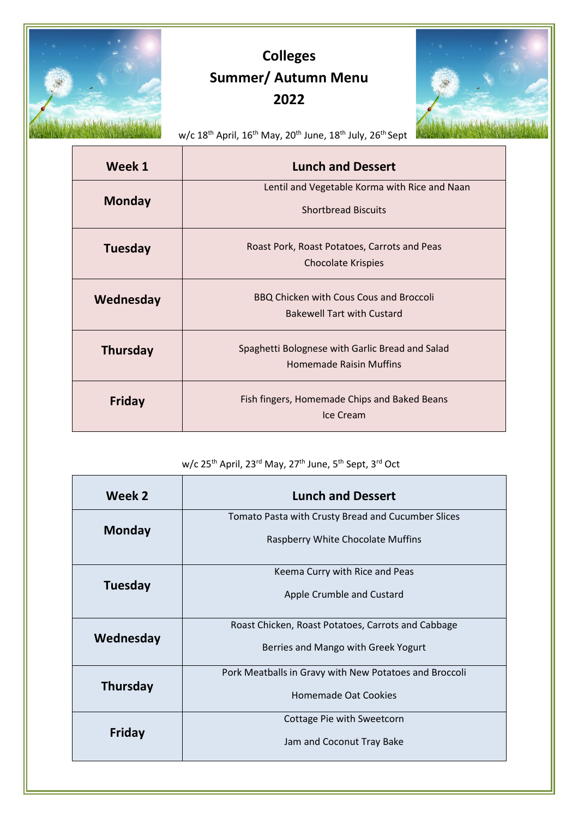

## Colleges Summer/ Autumn Menu 2022



w/c 18<sup>th</sup> April, 16<sup>th</sup> May, 20<sup>th</sup> June, 18<sup>th</sup> July, 26<sup>th</sup> Sept

| Week 1          | <b>Lunch and Dessert</b>                                                            |
|-----------------|-------------------------------------------------------------------------------------|
| <b>Monday</b>   | Lentil and Vegetable Korma with Rice and Naan<br><b>Shortbread Biscuits</b>         |
| Tuesday         | Roast Pork, Roast Potatoes, Carrots and Peas<br><b>Chocolate Krispies</b>           |
| Wednesday       | <b>BBQ Chicken with Cous Cous and Broccoli</b><br><b>Bakewell Tart with Custard</b> |
| <b>Thursday</b> | Spaghetti Bolognese with Garlic Bread and Salad<br><b>Homemade Raisin Muffins</b>   |
| <b>Friday</b>   | Fish fingers, Homemade Chips and Baked Beans<br>Ice Cream                           |

## w/c 25<sup>th</sup> April, 23<sup>rd</sup> May, 27<sup>th</sup> June, 5<sup>th</sup> Sept, 3<sup>rd</sup> Oct

| Week 2          | <b>Lunch and Dessert</b>                               |
|-----------------|--------------------------------------------------------|
| <b>Monday</b>   | Tomato Pasta with Crusty Bread and Cucumber Slices     |
|                 | Raspberry White Chocolate Muffins                      |
| Tuesday         | Keema Curry with Rice and Peas                         |
|                 | Apple Crumble and Custard                              |
| Wednesday       | Roast Chicken, Roast Potatoes, Carrots and Cabbage     |
|                 | Berries and Mango with Greek Yogurt                    |
| <b>Thursday</b> | Pork Meatballs in Gravy with New Potatoes and Broccoli |
|                 | <b>Homemade Oat Cookies</b>                            |
| Friday          | Cottage Pie with Sweetcorn                             |
|                 | Jam and Coconut Tray Bake                              |